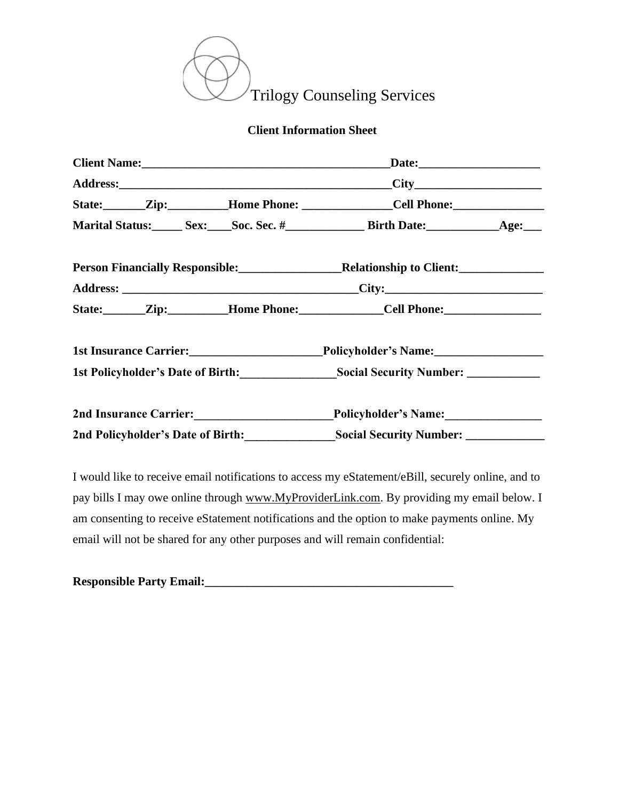

## **Client Information Sheet**

|                                   | State: <u>Zip: Home Phone: Cell Phone:</u>                                                             |  |
|-----------------------------------|--------------------------------------------------------------------------------------------------------|--|
|                                   | Marital Status: Sex: Soc. Sec. # Birth Date: Age: Age:                                                 |  |
|                                   | Person Financially Responsible: Relationship to Client: Marian Content Person Financially Responsible: |  |
|                                   |                                                                                                        |  |
|                                   | State: Zip: Home Phone: Cell Phone:                                                                    |  |
|                                   | 1st Insurance Carrier: Policyholder's Name: 1st Insurance Carrier:                                     |  |
|                                   | 1st Policyholder's Date of Birth: Social Security Number: ___________                                  |  |
|                                   | 2nd Insurance Carrier: Policyholder's Name:                                                            |  |
| 2nd Policyholder's Date of Birth: | Social Security Number: _____________                                                                  |  |

I would like to receive email notifications to access my eStatement/eBill, securely online, and to pay bills I may owe online through [www.MyProviderLink.com.](http://www.myproviderlink.com/) By providing my email below. I am consenting to receive eStatement notifications and the option to make payments online. My email will not be shared for any other purposes and will remain confidential:

| <b>Responsible Party Email:</b> |  |
|---------------------------------|--|